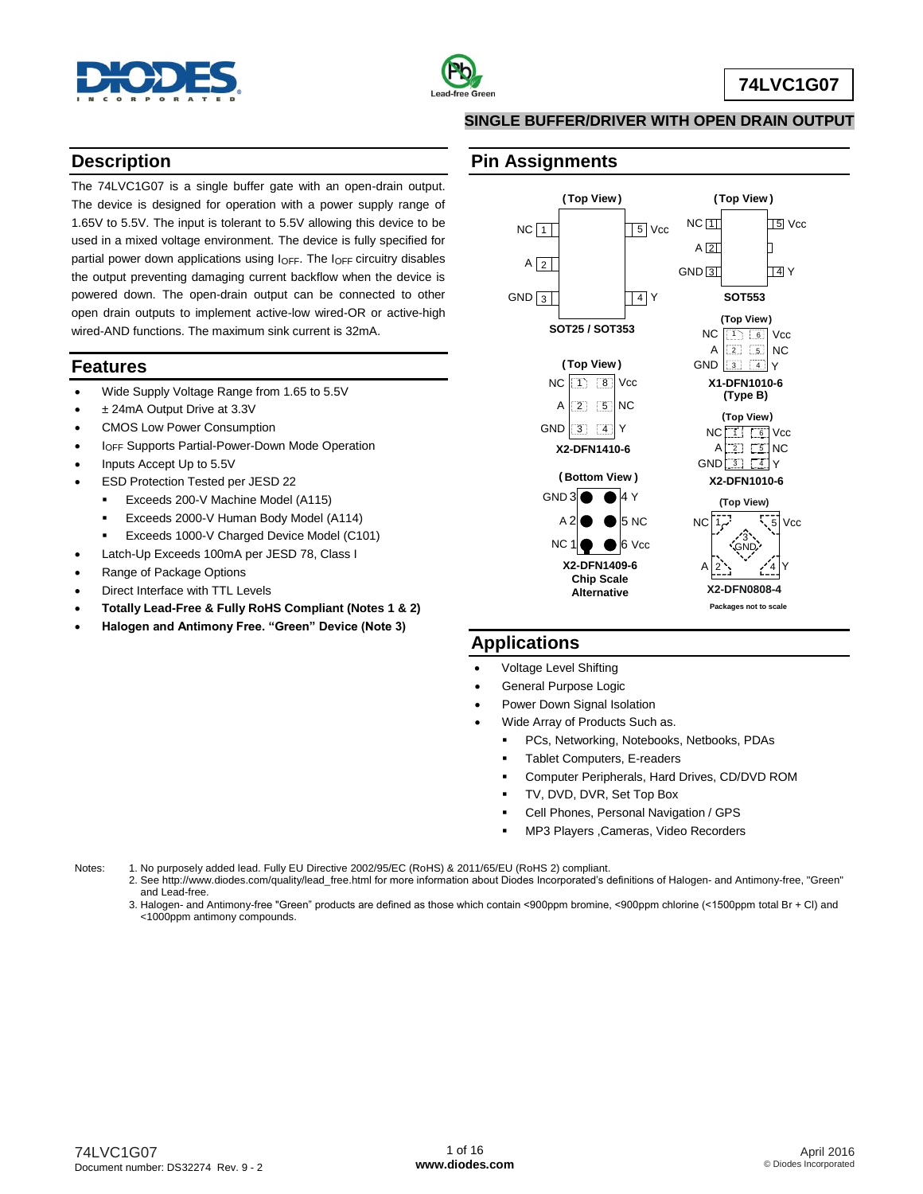



#### **SINGLE BUFFER/DRIVER WITH OPEN DRAIN OUTPUT**

#### **Description**

The 74LVC1G07 is a single buffer gate with an open-drain output. The device is designed for operation with a power supply range of 1.65V to 5.5V. The input is tolerant to 5.5V allowing this device to be used in a mixed voltage environment. The device is fully specified for partial power down applications using I<sub>OFF</sub>. The I<sub>OFF</sub> circuitry disables the output preventing damaging current backflow when the device is powered down. The open-drain output can be connected to other open drain outputs to implement active-low wired-OR or active-high wired-AND functions. The maximum sink current is 32mA.

#### **Features**

- Wide Supply Voltage Range from 1.65 to 5.5V
- ± 24mA Output Drive at 3.3V
- CMOS Low Power Consumption
- IOFF Supports Partial-Power-Down Mode Operation
- Inputs Accept Up to 5.5V
- ESD Protection Tested per JESD 22
	- **Exceeds 200-V Machine Model (A115)**
	- Exceeds 2000-V Human Body Model (A114)
	- **Exceeds 1000-V Charged Device Model (C101)**
- Latch-Up Exceeds 100mA per JESD 78, Class I
- Range of Package Options
- Direct Interface with TTL Levels
- **Totally Lead-Free & Fully RoHS Compliant (Notes 1 & 2)**
- **Halogen and Antimony Free. "Green" Device (Note 3)**

#### **Pin Assignments**



#### **Applications**

- Voltage Level Shifting
- General Purpose Logic
- Power Down Signal Isolation
- - Wide Array of Products Such as. PCs, Networking, Notebooks, Netbooks, PDAs
		-
		- Tablet Computers, E-readers
		- Computer Peripherals, Hard Drives, CD/DVD ROM
		- TV, DVD, DVR, Set Top Box
		- Cell Phones, Personal Navigation / GPS
		- MP3 Players ,Cameras, Video Recorders

Notes: 1. No purposely added lead. Fully EU Directive 2002/95/EC (RoHS) & 2011/65/EU (RoHS 2) compliant.

2. See [http://www.diodes.com/quality/lead\\_free.html](http://www.diodes.com/quality/lead_free.html) for more information about Diodes Incorporated's definitions of Halogen- and Antimony-free, "Green" and Lead-free.

3. Halogen- and Antimony-free "Green" products are defined as those which contain <900ppm bromine, <900ppm chlorine (<1500ppm total Br + Cl) and <1000ppm antimony compounds.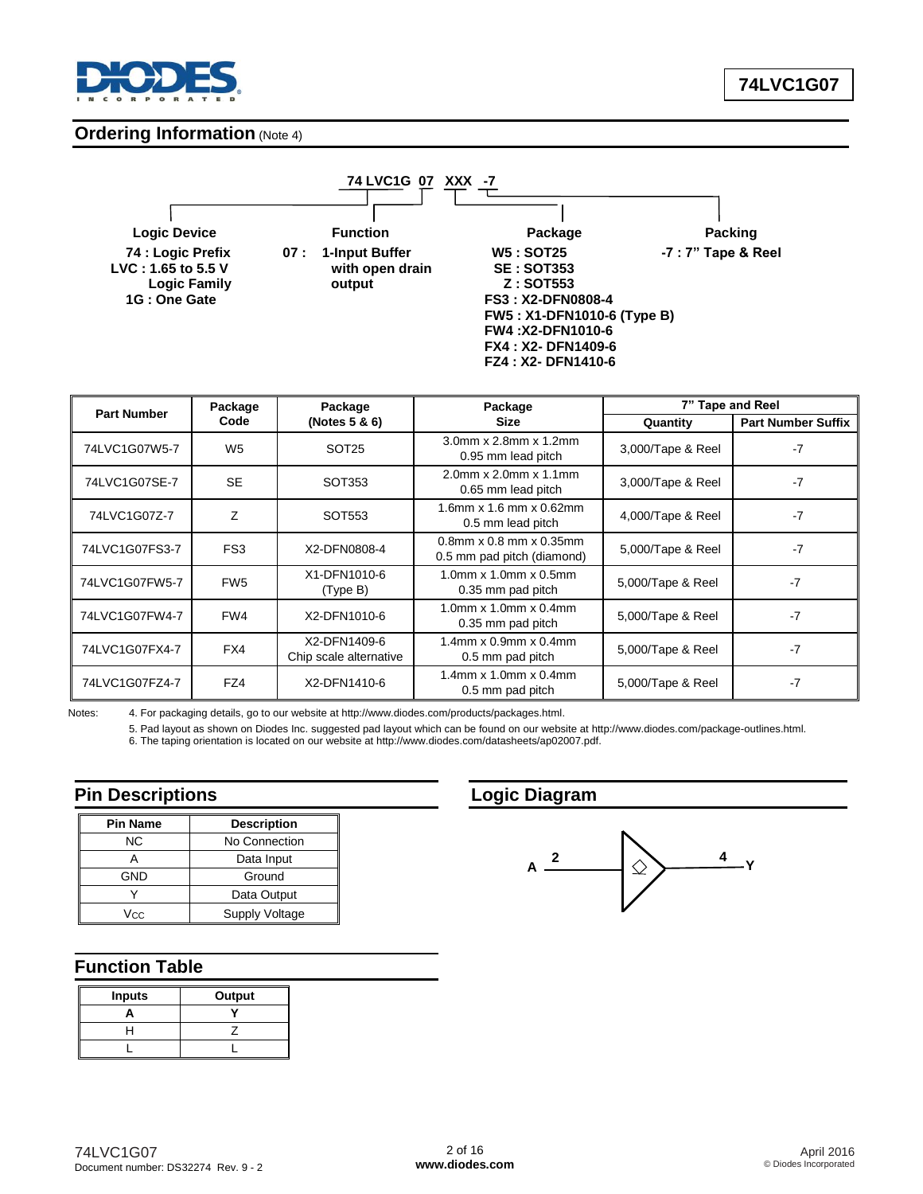

#### **Ordering Information (Note 4)**

 **Logic Family 1G : One Gate** 

**LVC : 1.65 to 5.5 V with open drain SE : SOT353**

 **74 LVC1G 07 XXX -7**

**Logic Device Function Package Packing 74 : Logic Prefix 07 : 1-Input Buffer W5 : SOT25 -7 : 7" Tape & Reel 1G : One Gate FS3 : X2-DFN0808-4 FW5 : X1-DFN1010-6 (Type B) FW4 :X2-DFN1010-6 FX4 : X2- DFN1409-6 FZ4 : X2- DFN1410-6**

|                | Package<br><b>Part Number</b> |                                        | Package                                                                            |                   | 7" Tape and Reel          |
|----------------|-------------------------------|----------------------------------------|------------------------------------------------------------------------------------|-------------------|---------------------------|
| Code           |                               | (Notes $5 & 6$ )                       | <b>Size</b>                                                                        | Quantity          | <b>Part Number Suffix</b> |
| 74LVC1G07W5-7  | W <sub>5</sub>                | SOT <sub>25</sub>                      | 3.0mm x 2.8mm x 1.2mm<br>0.95 mm lead pitch                                        | 3,000/Tape & Reel | $-7$                      |
| 74LVC1G07SE-7  | <b>SE</b>                     | SOT353                                 | $2.0$ mm x $2.0$ mm x $1.1$ mm<br>3,000/Tape & Reel<br>0.65 mm lead pitch          |                   | $-7$                      |
| 74LVC1G07Z-7   | 7                             | SOT553                                 | 1.6mm $x$ 1.6 mm $x$ 0.62mm<br>4,000/Tape & Reel<br>0.5 mm lead pitch              |                   | $-7$                      |
| 74LVC1G07FS3-7 | FS <sub>3</sub>               | X2-DFN0808-4                           | $0.8$ mm x $0.8$ mm x $0.35$ mm<br>5,000/Tape & Reel<br>0.5 mm pad pitch (diamond) |                   | $-7$                      |
| 74LVC1G07FW5-7 | FW <sub>5</sub>               | X1-DFN1010-6<br>(Type B)               | $1.0$ mm x $1.0$ mm x $0.5$ mm<br>5,000/Tape & Reel<br>0.35 mm pad pitch           |                   | $-7$                      |
| 74LVC1G07FW4-7 | FW4                           | X2-DFN1010-6                           | $1.0$ mm x $1.0$ mm x $0.4$ mm<br>0.35 mm pad pitch                                | 5,000/Tape & Reel | $-7$                      |
| 74LVC1G07FX4-7 | FX4                           | X2-DFN1409-6<br>Chip scale alternative | $1.4$ mm x $0.9$ mm x $0.4$ mm<br>5,000/Tape & Reel<br>0.5 mm pad pitch            |                   | $-7$                      |
| 74LVC1G07FZ4-7 | FZ4                           | X2-DFN1410-6                           | $1.4$ mm x $1.0$ mm x $0.4$ mm<br>5,000/Tape & Reel<br>0.5 mm pad pitch            |                   | $-7$                      |

Notes: 4. For packaging details, go to our website at [http://www.diodes.com/products/packages.html.](http://www.diodes.com/products/packages.html)

5. Pad layout as shown on Diodes Inc. suggested pad layout which can be found on our website at [http://www.diodes.com/package-outlines.html.](http://www.diodes.com/package-outlines.html)

6. The taping orientation is located on our website at [http://www.diodes.com/datasheets/ap02007.pdf.](http://www.diodes.com/datasheets/ap02007.pdf)

#### **Pin Descriptions**

| <b>Pin Name</b> | <b>Description</b> |  |
|-----------------|--------------------|--|
| ΝC              | No Connection      |  |
|                 | Data Input         |  |
| <b>GND</b>      | Ground             |  |
|                 | Data Output        |  |
| Vcc             | Supply Voltage     |  |

#### **Function Table**

| <b>Inputs</b> | Output |
|---------------|--------|
|               |        |
|               |        |
|               |        |

# **Logic Diagram**

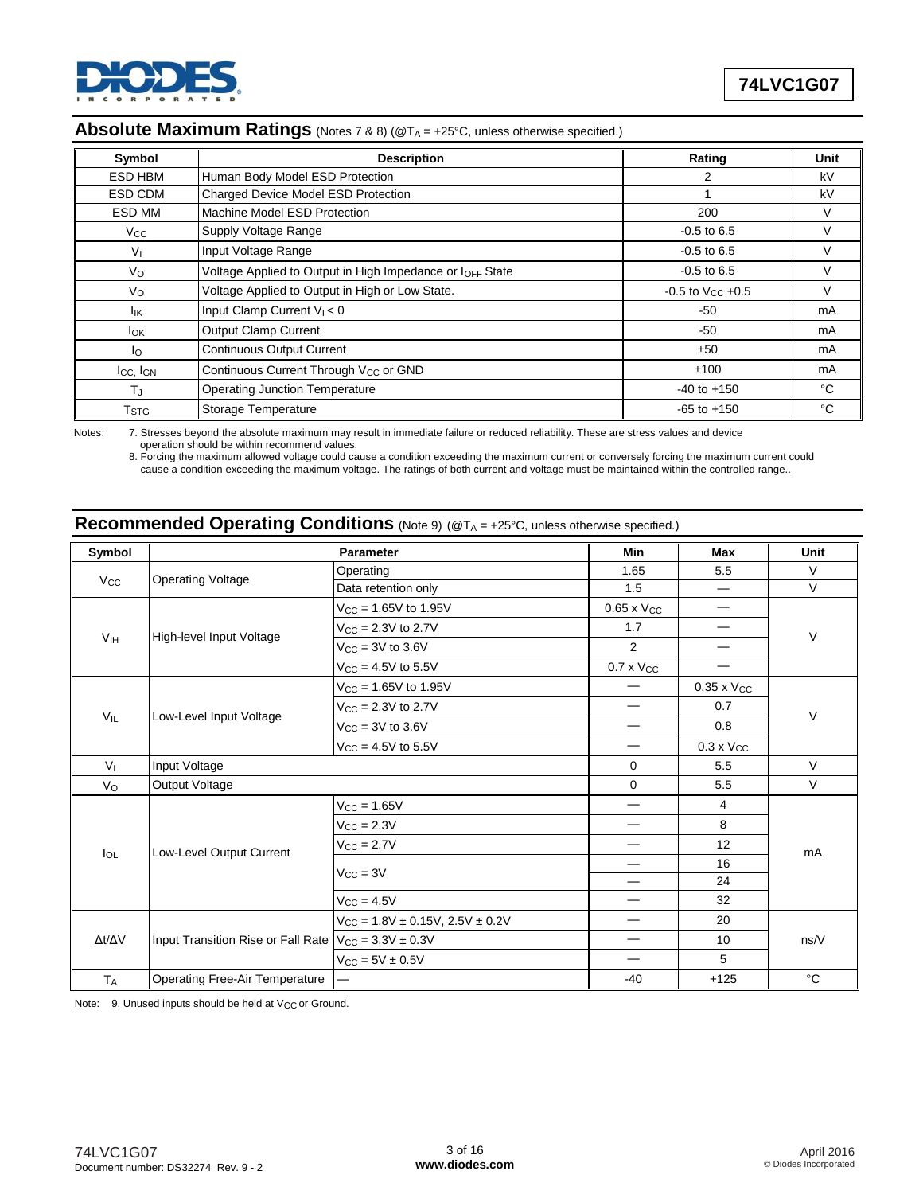

#### Absolute Maximum Ratings (Notes 7 & 8) (@T<sub>A</sub> = +25°C, unless otherwise specified.)

| Symbol                    | <b>Description</b>                                        | Rating                    | Unit |
|---------------------------|-----------------------------------------------------------|---------------------------|------|
| ESD HBM                   | Human Body Model ESD Protection                           | 2                         | kV   |
| ESD CDM                   | Charged Device Model ESD Protection                       |                           | kV   |
| ESD MM                    | Machine Model ESD Protection                              | 200                       | V    |
| <b>V<sub>cc</sub></b>     | Supply Voltage Range                                      | $-0.5$ to 6.5             | V    |
| $V_{\parallel}$           | Input Voltage Range                                       | $-0.5$ to 6.5             | V    |
| Vo                        | Voltage Applied to Output in High Impedance or IOFF State | $-0.5$ to 6.5             | V    |
| Vo                        | Voltage Applied to Output in High or Low State.           | $-0.5$ to $V_{CC}$ $+0.5$ | V    |
| lικ                       | Input Clamp Current $V_1 < 0$                             | -50                       | mA   |
| $I_{OK}$                  | <b>Output Clamp Current</b>                               | $-50$                     | mA   |
| lo.                       | <b>Continuous Output Current</b>                          | ±50                       | mA   |
| $I_{CC}$ , $I_{GN}$       | Continuous Current Through V <sub>CC</sub> or GND         | ±100                      | mA   |
| T,                        | <b>Operating Junction Temperature</b>                     | $-40$ to $+150$           | °C   |
| $\mathsf{T}_{\text{STG}}$ | Storage Temperature                                       | $-65$ to $+150$           | °C   |

Notes: 7. Stresses beyond the absolute maximum may result in immediate failure or reduced reliability. These are stress values and device operation should be within recommend values.

8. Forcing the maximum allowed voltage could cause a condition exceeding the maximum current or conversely forcing the maximum current could cause a condition exceeding the maximum voltage. The ratings of both current and voltage must be maintained within the controlled range..

# **Recommended Operating Conditions** (Note 9) (@TA = +25°C, unless otherwise specified.)

| Symbol                          |                                       | <b>Parameter</b>                     | <b>Min</b>               | <b>Max</b>           | <b>Unit</b> |  |
|---------------------------------|---------------------------------------|--------------------------------------|--------------------------|----------------------|-------------|--|
|                                 |                                       | Operating                            | 1.65                     | 5.5                  | V           |  |
| <b>Operating Voltage</b><br>Vcc | Data retention only                   | 1.5                                  |                          | $\vee$               |             |  |
|                                 | $V_{\text{CC}} = 1.65V$ to 1.95V      | $0.65 \times V_{CC}$                 |                          |                      |             |  |
|                                 |                                       | $V_{\text{CC}} = 2.3V$ to 2.7V       | 1.7                      |                      | V           |  |
| V <sub>IH</sub>                 | High-level Input Voltage              | $V_{\text{CC}} = 3V$ to 3.6V         | $\overline{2}$           |                      |             |  |
|                                 |                                       | $V_{CC} = 4.5V$ to 5.5V              | $0.7 \times V_{CC}$      |                      |             |  |
|                                 |                                       | $V_{CC} = 1.65V$ to 1.95V            |                          | $0.35 \times V_{CC}$ |             |  |
|                                 |                                       | $V_{CC} = 2.3V$ to 2.7V              |                          | 0.7                  |             |  |
| $V_{IL}$                        | Low-Level Input Voltage               | $V_{CC}$ = 3V to 3.6V                | —                        | 0.8                  | V           |  |
|                                 |                                       | $V_{CC} = 4.5V$ to 5.5V              |                          | $0.3 \times V_{CC}$  |             |  |
| V <sub>1</sub>                  | Input Voltage                         |                                      | $\mathbf 0$              | 5.5                  | V           |  |
| Vo                              | Output Voltage                        |                                      | $\mathbf 0$              | 5.5                  | V           |  |
|                                 |                                       | $V_{CC} = 1.65V$                     |                          | $\overline{4}$       |             |  |
|                                 |                                       | $V_{\text{CC}} = 2.3V$               |                          | 8                    |             |  |
|                                 | Low-Level Output Current              | $V_{CC} = 2.7V$                      | —                        | 12                   | mA          |  |
| $I_{OL}$                        |                                       | $V_{CC} = 3V$                        | —                        | 16                   |             |  |
|                                 |                                       |                                      | $\overline{\phantom{0}}$ | 24                   |             |  |
|                                 |                                       | $V_{CC} = 4.5V$                      |                          | 32                   |             |  |
|                                 |                                       | $V_{CC}$ = 1.8V ± 0.15V, 2.5V ± 0.2V |                          | 20                   |             |  |
| Δt/ΔV                           | Input Transition Rise or Fall Rate    | $V_{CC} = 3.3V \pm 0.3V$             |                          | 10                   | ns/V        |  |
|                                 |                                       | $V_{CC} = 5V \pm 0.5V$               |                          | 5                    |             |  |
| <b>TA</b>                       | <b>Operating Free-Air Temperature</b> |                                      | $-40$                    | $+125$               | °C          |  |

Note: 9. Unused inputs should be held at V<sub>CC</sub> or Ground.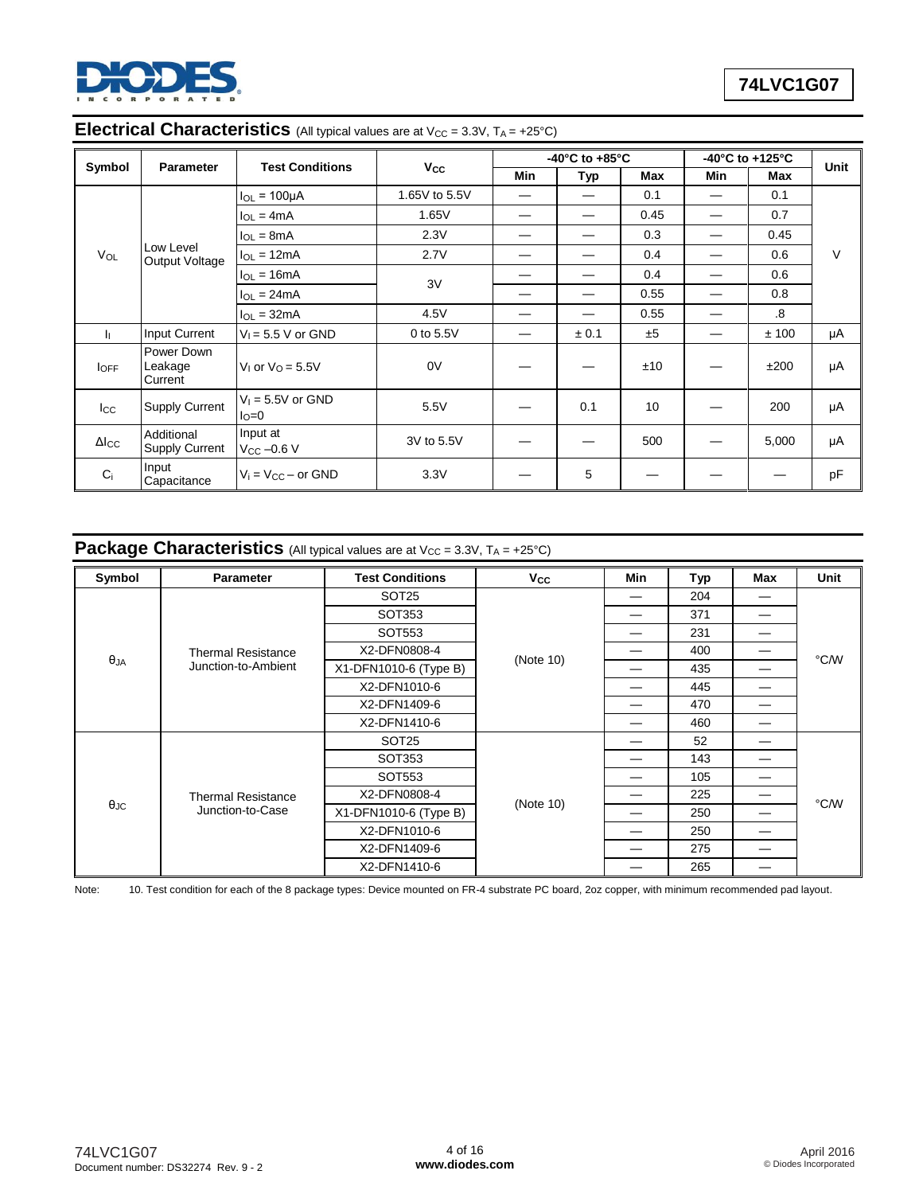

#### **Electrical Characteristics** (All typical values are at V<sub>CC</sub> = 3.3V, T<sub>A</sub> = +25°C)

| Symbol<br><b>Parameter</b> |                                  | <b>Test Conditions</b>                  |               | -40 $^{\circ}$ C to +85 $^{\circ}$ C |       |      | -40 $^{\circ}$ C to +125 $^{\circ}$ C | Unit         |        |
|----------------------------|----------------------------------|-----------------------------------------|---------------|--------------------------------------|-------|------|---------------------------------------|--------------|--------|
|                            |                                  |                                         | $V_{\rm CC}$  | Min                                  | Typ   | Max  | Min                                   | Max          |        |
|                            |                                  | $I_{OL}$ = 100 $\mu$ A                  | 1.65V to 5.5V |                                      |       | 0.1  |                                       | 0.1          |        |
|                            |                                  | $I_{OL} = 4mA$                          | 1.65V         |                                      |       | 0.45 |                                       | 0.7          |        |
|                            |                                  | $I_{OL} = 8mA$                          | 2.3V          |                                      |       | 0.3  |                                       | 0.45         |        |
| VOL                        | Low Level<br>Output Voltage      | $I_{OL} = 12mA$                         | 2.7V          |                                      |       | 0.4  |                                       | 0.6          | $\vee$ |
|                            | $I_{OL} = 16mA$                  | 3V                                      |               |                                      | 0.4   |      | 0.6                                   |              |        |
|                            | $I_{OL} = 24mA$                  |                                         |               |                                      | 0.55  |      | 0.8                                   |              |        |
|                            |                                  | $I_{OL} = 32mA$                         | 4.5V          |                                      |       | 0.55 |                                       | $\mathbf{8}$ |        |
| 4                          | Input Current                    | $V_1 = 5.5 V$ or GND                    | 0 to 5.5V     |                                      | ± 0.1 | ±5   |                                       | ±100         | μA     |
| $I_{OFF}$                  | Power Down<br>Leakage<br>Current | V <sub>1</sub> or $VO = 5.5V$           | 0V            |                                      |       | ±10  |                                       | ±200         | μA     |
| $_{\rm lcc}$               | <b>Supply Current</b>            | $V_1 = 5.5V$ or GND<br>$I_{\text{O}}=0$ | 5.5V          |                                      | 0.1   | 10   |                                       | 200          | μA     |
| $\Delta$ <sub>ICC</sub>    | Additional<br>Supply Current     | Input at<br>$V_{CC}$ -0.6 V             | 3V to 5.5V    |                                      |       | 500  |                                       | 5,000        | μA     |
| $C_i$                      | Input<br>Capacitance             | $V_i = V_{CC} - or GND$                 | 3.3V          |                                      | 5     |      |                                       |              | pF     |

# **Package Characteristics** (All typical values are at V<sub>CC</sub> = 3.3V, T<sub>A</sub> = +25°C)

| Symbol            | <b>Parameter</b>          | <b>Test Conditions</b> | <b>V<sub>cc</sub></b> | Min | Typ | Max | Unit |
|-------------------|---------------------------|------------------------|-----------------------|-----|-----|-----|------|
|                   |                           | SOT <sub>25</sub>      |                       | —   | 204 |     |      |
|                   |                           | SOT353                 |                       | —   | 371 | —   |      |
|                   |                           | SOT553                 |                       |     | 231 | —   |      |
|                   | <b>Thermal Resistance</b> | X2-DFN0808-4           |                       |     | 400 |     | °C∕W |
| $\theta$ JA       | Junction-to-Ambient       | X1-DFN1010-6 (Type B)  | (Note 10)             |     | 435 |     |      |
|                   |                           | X2-DFN1010-6           |                       |     | 445 | —   |      |
|                   |                           | X2-DFN1409-6           |                       |     | 470 | —   |      |
|                   |                           | X2-DFN1410-6           |                       |     | 460 |     |      |
|                   |                           | SOT <sub>25</sub>      |                       |     | 52  | —   |      |
|                   |                           | SOT353                 |                       |     | 143 | —   |      |
|                   |                           | SOT553                 |                       |     | 105 |     |      |
|                   | <b>Thermal Resistance</b> | X2-DFN0808-4           |                       |     | 225 | —   |      |
| $\theta_{\rm JC}$ | Junction-to-Case          | X1-DFN1010-6 (Type B)  | (Note 10)             |     | 250 |     | °C/W |
|                   |                           | X2-DFN1010-6           |                       |     | 250 |     |      |
|                   |                           | X2-DFN1409-6           |                       |     | 275 | —   |      |
|                   |                           | X2-DFN1410-6           |                       |     | 265 |     |      |

Note: 10. Test condition for each of the 8 package types: Device mounted on FR-4 substrate PC board, 2oz copper, with minimum recommended pad layout.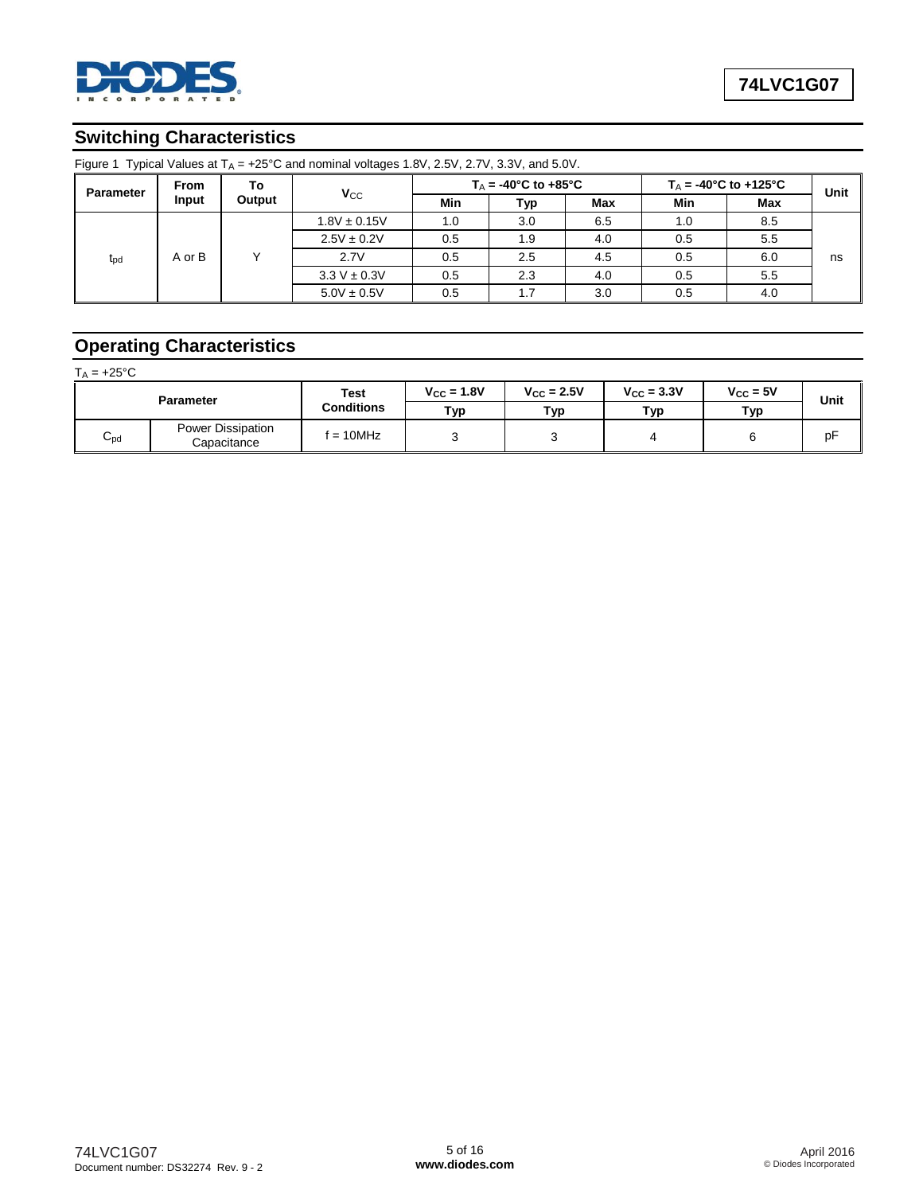

# **Switching Characteristics**

| <b>Parameter</b> | From   | То               |                  |     | $T_A = -40^{\circ}$ C to $+85^{\circ}$ C |     |     | $T_A$ = -40°C to +125°C | Unit |
|------------------|--------|------------------|------------------|-----|------------------------------------------|-----|-----|-------------------------|------|
|                  | Input  | Output           | $V_{CC}$         | Min | Typ                                      | Max | Min | <b>Max</b>              |      |
|                  |        |                  | $1.8V \pm 0.15V$ | 1.0 | 3.0                                      | 6.5 | 1.0 | 8.5                     |      |
|                  |        |                  | $2.5V \pm 0.2V$  | 0.5 | 1.9                                      | 4.0 | 0.5 | 5.5                     |      |
| $t_{\text{pd}}$  | A or B |                  | 2.7V             | 0.5 | 2.5                                      | 4.5 | 0.5 | 6.0                     | ns   |
|                  |        | $3.3 V \pm 0.3V$ | 0.5              | 2.3 | 4.0                                      | 0.5 | 5.5 |                         |      |
|                  |        |                  | $5.0V \pm 0.5V$  | 0.5 |                                          | 3.0 | 0.5 | 4.0                     |      |

#### Figure 1 Typical Values at T<sub>A</sub> = +25°C and nominal voltages 1.8V, 2.5V, 2.7V, 3.3V, and 5.0V.

# **Operating Characteristics**

| $T_A = +25^{\circ}C$ |                                  |                   |                 |                     |                        |               |      |
|----------------------|----------------------------------|-------------------|-----------------|---------------------|------------------------|---------------|------|
| <b>Parameter</b>     |                                  | Test              | $V_{CC} = 1.8V$ | $V_{\rm CC} = 2.5V$ | $V_{\text{CC}} = 3.3V$ | $V_{CC} = 5V$ | Unit |
|                      |                                  | <b>Conditions</b> | Тур             | Тур                 | Тур                    | Typ           |      |
| $C_{\rm pd}$         | Power Dissipation<br>Capacitance | $f = 10$ MHz      |                 |                     |                        |               | рF   |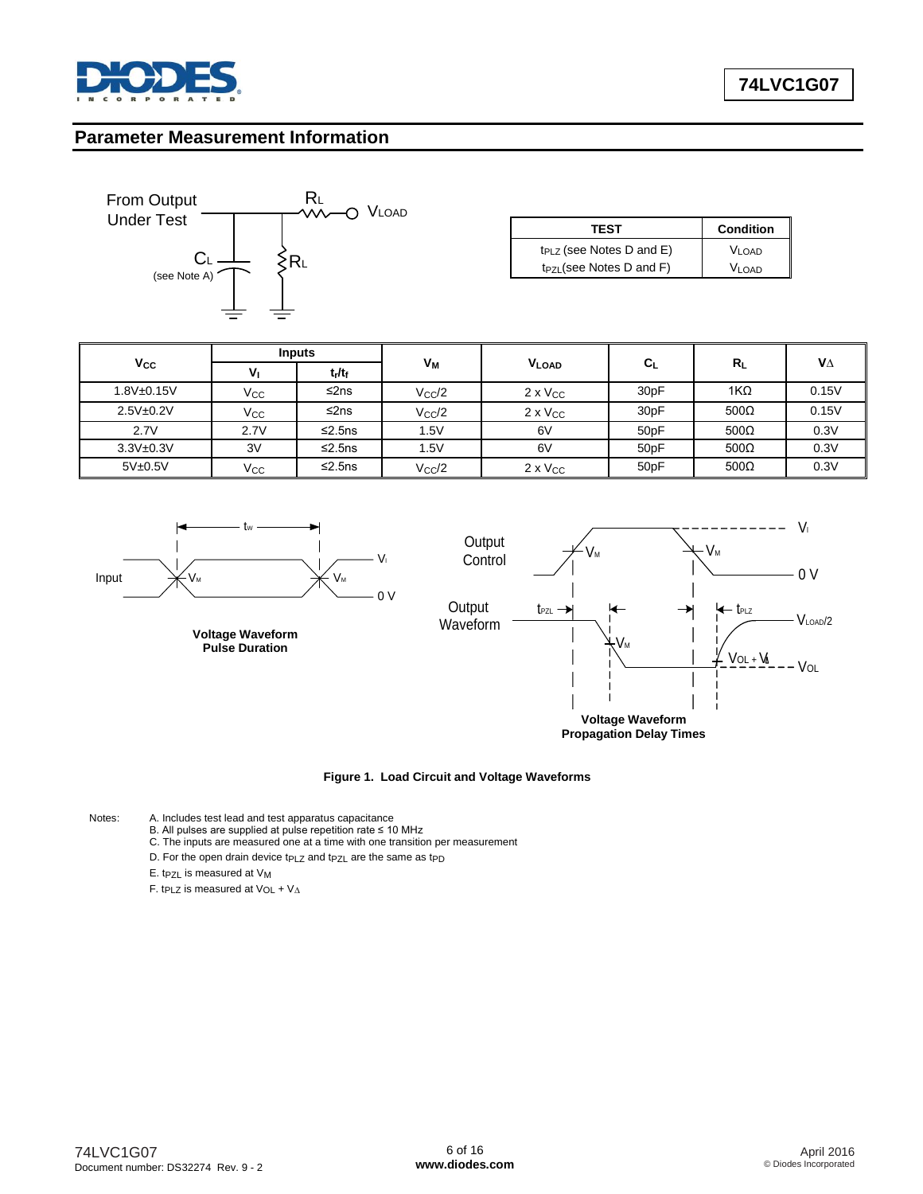

#### **Parameter Measurement Information**



| <b>TEST</b>                   | <b>Condition</b>  |
|-------------------------------|-------------------|
| $t_{PLZ}$ (see Notes D and E) | V <sub>LOAD</sub> |
| $t_{PZL}$ (see Notes D and F) | Vi nad            |

|                   | <b>Inputs</b> |              |                |                   |                   |              |           |
|-------------------|---------------|--------------|----------------|-------------------|-------------------|--------------|-----------|
| $V_{\rm CC}$      | ٧             | $t_r/t_f$    | V <sub>M</sub> | <b>VLOAD</b>      | $C_L$             | $R_L$        | $V\Delta$ |
| $1.8V_{\pm}0.15V$ | $V_{\rm CC}$  | ≤2ns         | $V_{\rm CC}/2$ | $2 \times V_{CC}$ | 30 <sub>p</sub> F | 1K $\Omega$  | 0.15V     |
| 2.5V±0.2V         | Vcc           | ≤2ns         | $V_{\rm CC}/2$ | $2 \times V_{CC}$ | 30 <sub>p</sub> F | $500\Omega$  | 0.15V     |
| 2.7V              | 2.7V          | $\leq$ 2.5ns | .5V            | 6V                | 50 <sub>p</sub> F | $500\Omega$  | 0.3V      |
| 3.3V±0.3V         | 3V            | $\leq$ 2.5ns | .5V            | 6V                | 50 <sub>p</sub> F | 500 $\Omega$ | 0.3V      |
| 5V±0.5V           | Vcc           | $\leq$ 2.5ns | $V_{\rm CC}/2$ | $2 \times V_{CC}$ | 50 <sub>p</sub> F | 500 $\Omega$ | 0.3V      |







**Figure 1. Load Circuit and Voltage Waveforms**

- Notes: A. Includes test lead and test apparatus capacitance B. All pulses are supplied at pulse repetition rate ≤ 10 MHz
	- C. The inputs are measured one at a time with one transition per measurement
	- D. For the open drain device tp $_{\text{LZ}}$  and tp $_{\text{ZL}}$  are the same as tpp
	- E. tpzL is measured at V<sub>M</sub>

F. t<sub>PLZ</sub> is measured at  $V_{OL} + V_{\Delta}$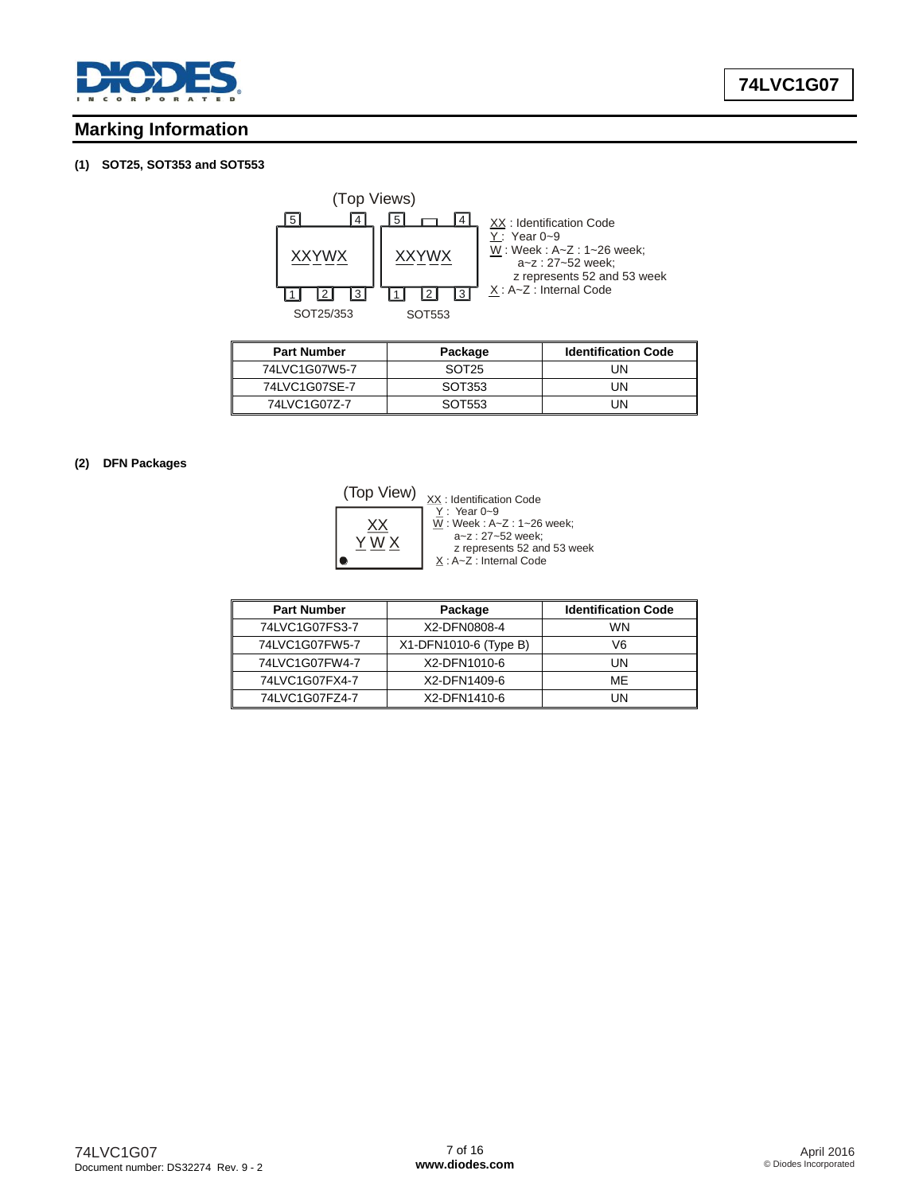

# **Marking Information**

#### **(1) SOT25, SOT353 and SOT553**



| <b>Part Number</b> | Package           | <b>Identification Code</b> |
|--------------------|-------------------|----------------------------|
| 74LVC1G07W5-7      | SOT <sub>25</sub> | IJΝ                        |
| 74LVC1G07SE-7      | SOT353            | l IN                       |
| 74 VC1G077-7       | SOT553            | l IN                       |

#### **(2) DFN Packages**

XX : Identification Code (Top View)



Y W X : A~Z : Internal Code <u>Y</u> : Year 0~9<br><u>W</u> : Week : A~Z : 1~26 week; a~z : 27~52 week; z represents 52 and 53 week

| <b>Part Number</b> | Package               | <b>Identification Code</b> |
|--------------------|-----------------------|----------------------------|
| 74LVC1G07FS3-7     | X2-DFN0808-4          | WN                         |
| 74LVC1G07FW5-7     | X1-DFN1010-6 (Type B) | V6                         |
| 74LVC1G07FW4-7     | X2-DFN1010-6          | UN                         |
| 74LVC1G07FX4-7     | X2-DFN1409-6          | ME                         |
| 74LVC1G07FZ4-7     | X2-DFN1410-6          | IJΝ                        |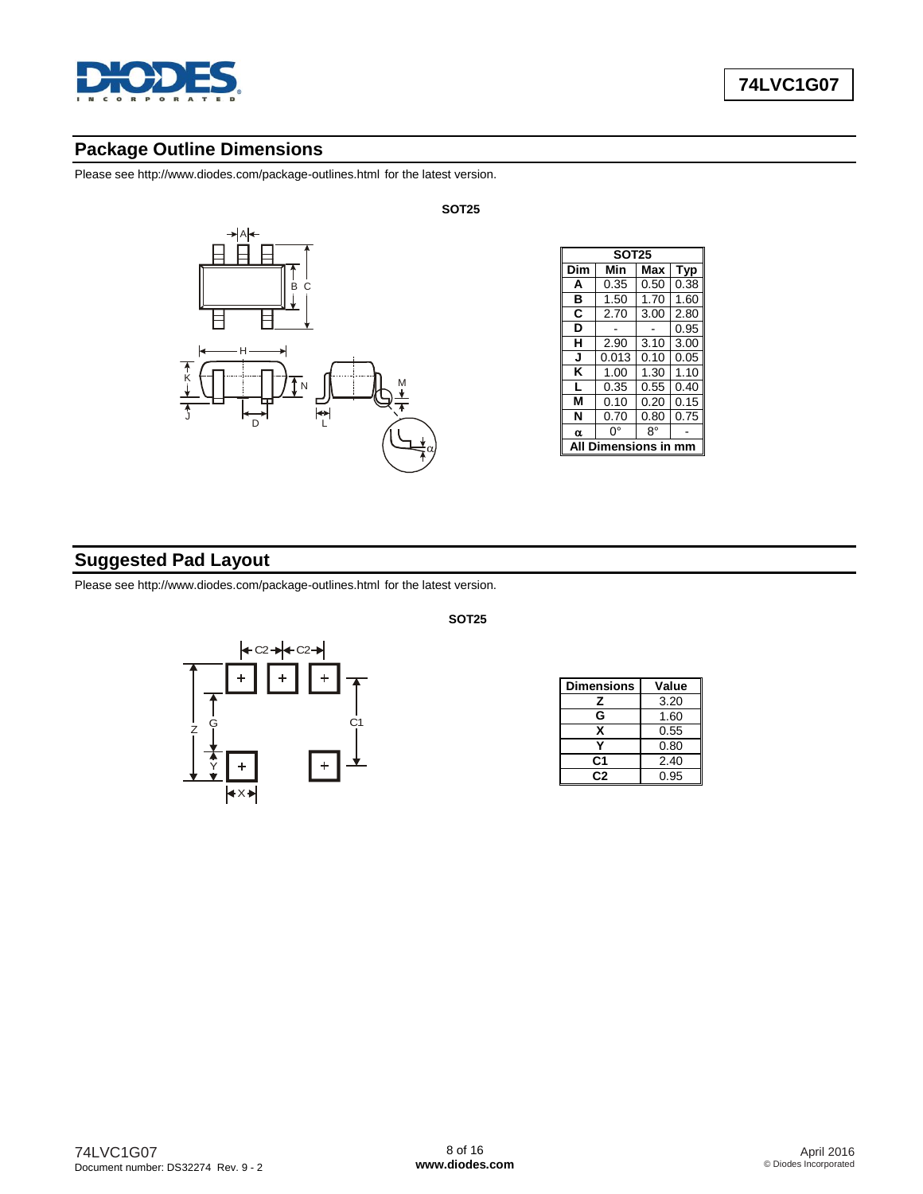

Please see<http://www.diodes.com/package-outlines.html> for the latest version.



| <b>SOT25</b> |       |      |      |
|--------------|-------|------|------|
| Dim          | Min   | Max  | Typ  |
| A            | 0.35  | 0.50 | 0.38 |
| в            | 1.50  | 1.70 | 1.60 |
| C            | 2.70  | 3.00 | 2.80 |
| D            |       |      | 0.95 |
| н            | 2.90  | 3.10 | 3.00 |
| J            | 0.013 | 0.10 | 0.05 |
| κ            | 1.00  | 1.30 | 1.10 |
| L            | 0.35  | 0.55 | 0.40 |
| М            | 0.10  | 0.20 | 0.15 |
| N            | 0.70  | 0.80 | 0.75 |
| α            | n۰    | R۰   |      |
| nsinı        |       |      |      |

# **Suggested Pad Layout**

Please see<http://www.diodes.com/package-outlines.html> for the latest version.



| <b>Dimensions</b> | Value |  |
|-------------------|-------|--|
| z                 | 3.20  |  |
| G                 | 1.60  |  |
| x                 | 0.55  |  |
|                   | 0.80  |  |
| C1                | 2.40  |  |
| r. 2              | 0.95  |  |

74LVC1G07 Document number: DS32274 Rev. 9 - 2 **SOT25**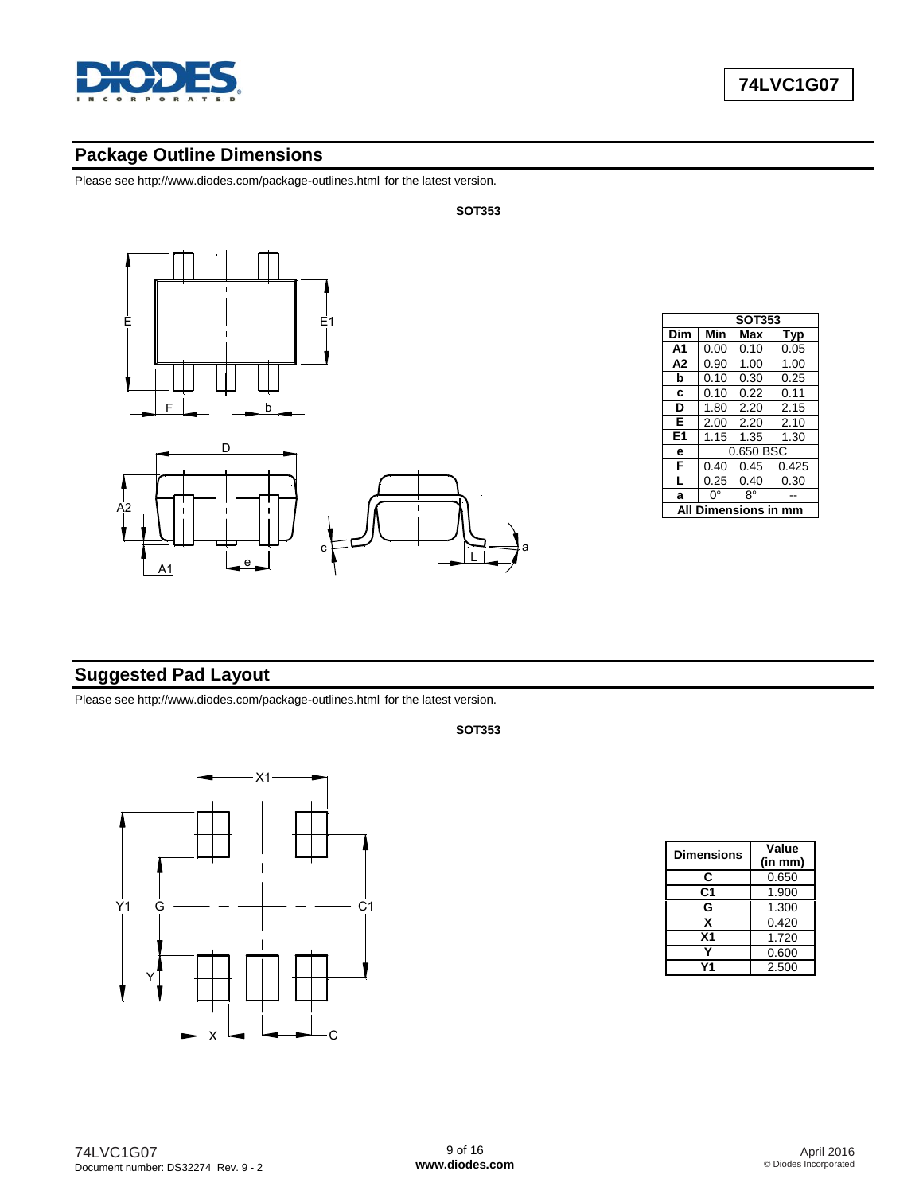

Please see<http://www.diodes.com/package-outlines.html> for the latest version.



|             | <b>SOT353</b> |      |       |  |
|-------------|---------------|------|-------|--|
| Dim         | Min           | Max  | Typ   |  |
| A1          | 0.00          | 0.10 | 0.05  |  |
| A2          | 0.90          | 1.00 | 1.00  |  |
| b           | 0.10          | 0.30 | 0.25  |  |
| C           | 0.10          | 0.22 | 0.11  |  |
| D           | 1.80          | 2.20 | 2.15  |  |
| Е           | 2.00          | 2.20 | 2.10  |  |
| E1          | 1.15          | 1.35 | 1.30  |  |
| е           | 0.650 BSC     |      |       |  |
| F           | 0.40          | 0.45 | 0.425 |  |
| L           | 0.25          | 0.40 | 0.30  |  |
| a           | n°            | 8°   |       |  |
| mensions in |               |      |       |  |

# **Suggested Pad Layout**

Please see<http://www.diodes.com/package-outlines.html> for the latest version.

#### **SOT353**



| <b>Dimensions</b> | Value   |  |
|-------------------|---------|--|
|                   | (in mm) |  |
| С                 | 0.650   |  |
| C1                | 1.900   |  |
| G                 | 1.300   |  |
| x                 | 0.420   |  |
| X <sub>1</sub>    | 1.720   |  |
|                   | 0.600   |  |
| 11                | 2.500   |  |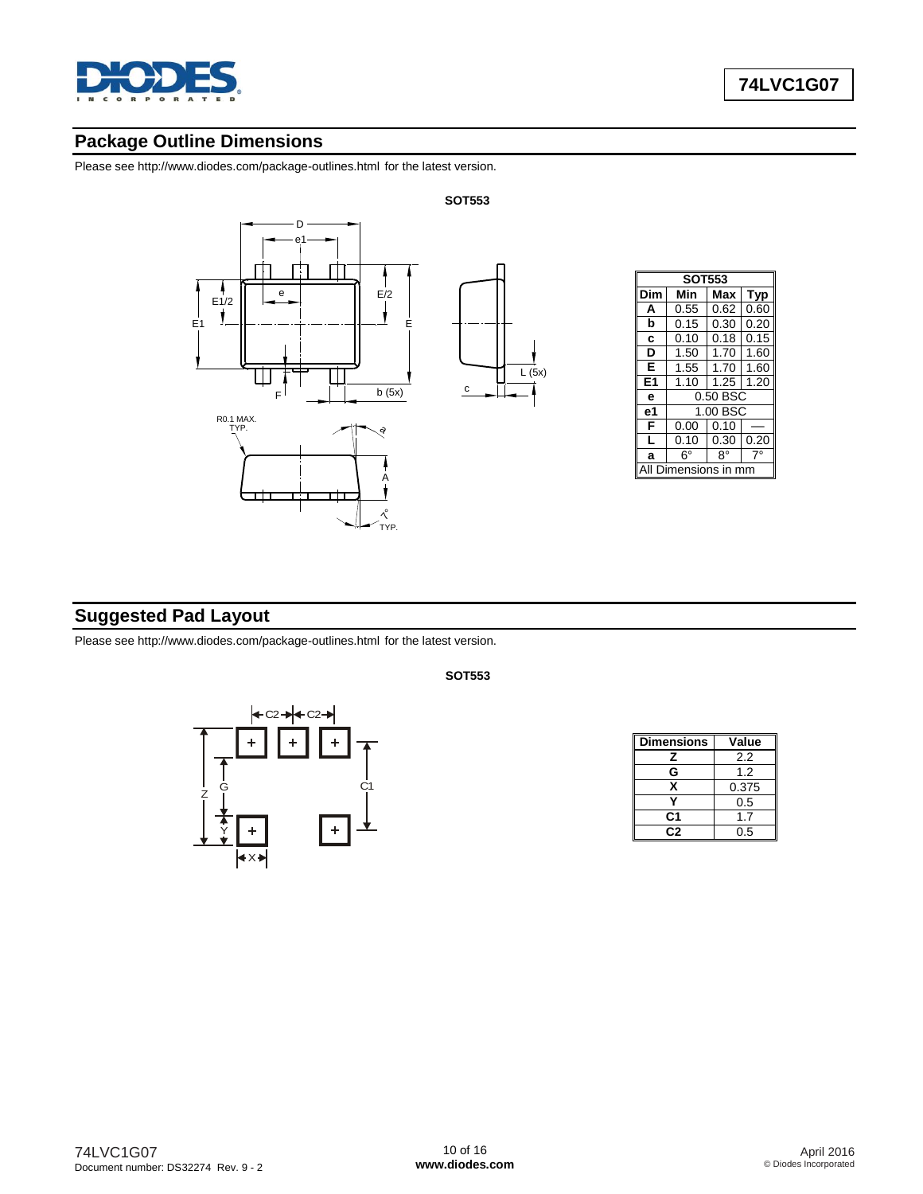

Please see<http://www.diodes.com/package-outlines.html> for the latest version.



|                | <b>SOT553</b> |      |      |  |
|----------------|---------------|------|------|--|
| Dim            | Min           | Max  | Typ  |  |
| A              | 0.55          | 0.62 | 0.60 |  |
| b              | 0.15          | 0.30 | 0.20 |  |
| C              | 0.10          | 0.18 | 0.15 |  |
| D              | 1.50          | 1.70 | 1.60 |  |
| Е              | 1.55          | 1.70 | 1.60 |  |
| E <sub>1</sub> | 1.10          | 1.25 | 1.20 |  |
| е              | 0.50 BSC      |      |      |  |
| е1             | 1.00 BSC      |      |      |  |
| F              | 0.00          | 0.10 |      |  |
| L              | 0.10          | 0.30 | 0.20 |  |
| a              | 6°            | 8°   |      |  |
|                | iensions      |      |      |  |

# **Suggested Pad Layout**

Please see<http://www.diodes.com/package-outlines.html> for the latest version.



**SOT553**

| <b>Dimensions</b> | Value |
|-------------------|-------|
| z                 | 22    |
| G                 | 1.2   |
| x                 | 0.375 |
|                   | 0.5   |
| C1                | 1.7   |
| r. 2              | 0.5   |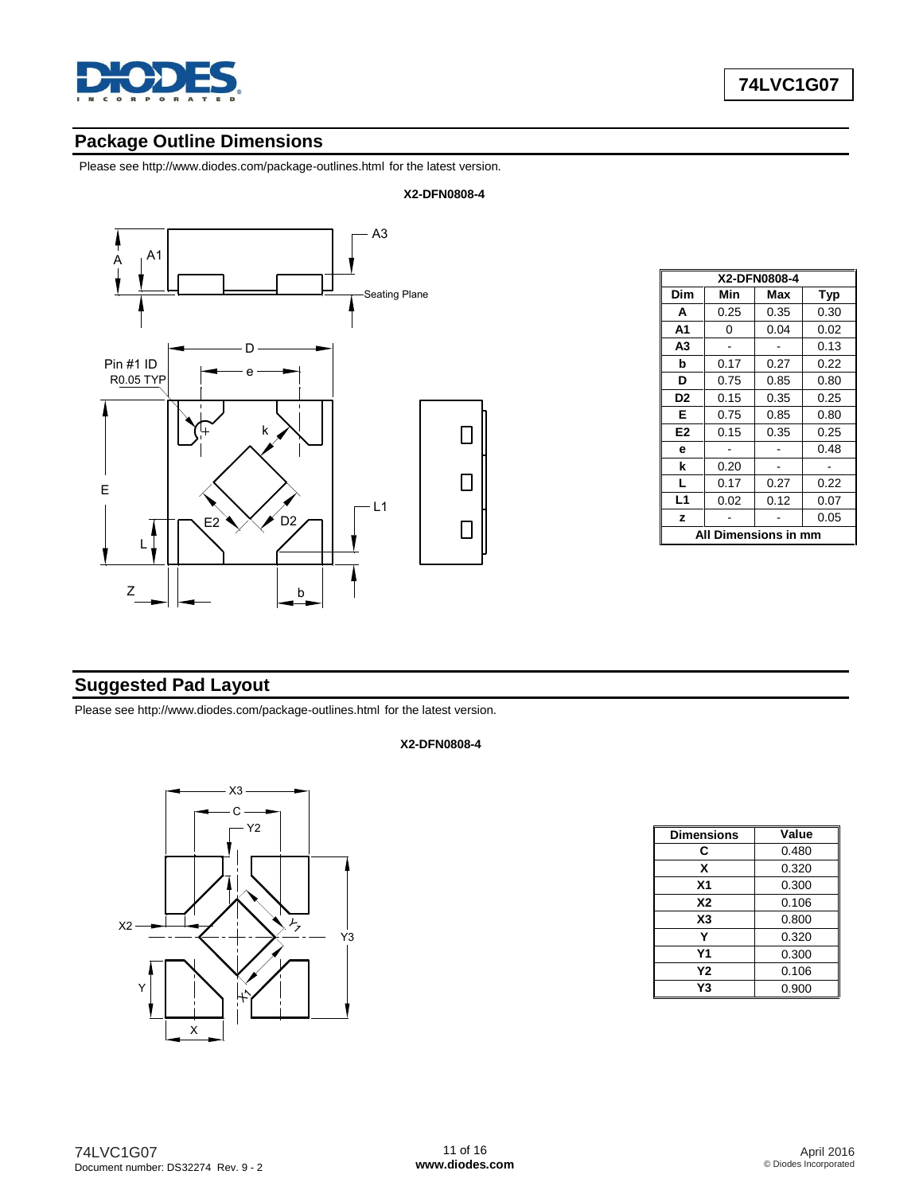

Please see<http://www.diodes.com/package-outlines.html> for the latest version.



| X2-DFN0808-4         |      |      |      |  |
|----------------------|------|------|------|--|
| Dim                  | Min  | Max  | Typ  |  |
| A                    | 0.25 | 0.35 | 0.30 |  |
| A1                   | 0    | 0.04 | 0.02 |  |
| A3                   |      |      | 0.13 |  |
| b                    | 0.17 | 0.27 | 0.22 |  |
| D                    | 0.75 | 0.85 | 0.80 |  |
| D <sub>2</sub>       | 0.15 | 0.35 | 0.25 |  |
| E.                   | 0.75 | 0.85 | 0.80 |  |
| E2                   | 0.15 | 0.35 | 0.25 |  |
| e                    |      |      | 0.48 |  |
| k                    | 0.20 |      |      |  |
| L                    | 0.17 | 0.27 | 0.22 |  |
| L1                   | 0.02 | 0.12 | 0.07 |  |
| z                    |      |      | 0.05 |  |
| All Dimensions in mm |      |      |      |  |

# **Suggested Pad Layout**

Please see<http://www.diodes.com/package-outlines.html> for the latest version.

#### **X2-DFN0808-4**



| <b>Dimensions</b> | Value |
|-------------------|-------|
| С                 | 0.480 |
| x                 | 0.320 |
| X <sub>1</sub>    | 0.300 |
| <b>X2</b>         | 0.106 |
| X <sub>3</sub>    | 0.800 |
| v                 | 0.320 |
| Υ1                | 0.300 |
| Υ2                | 0.106 |
| Υ3                | 0.900 |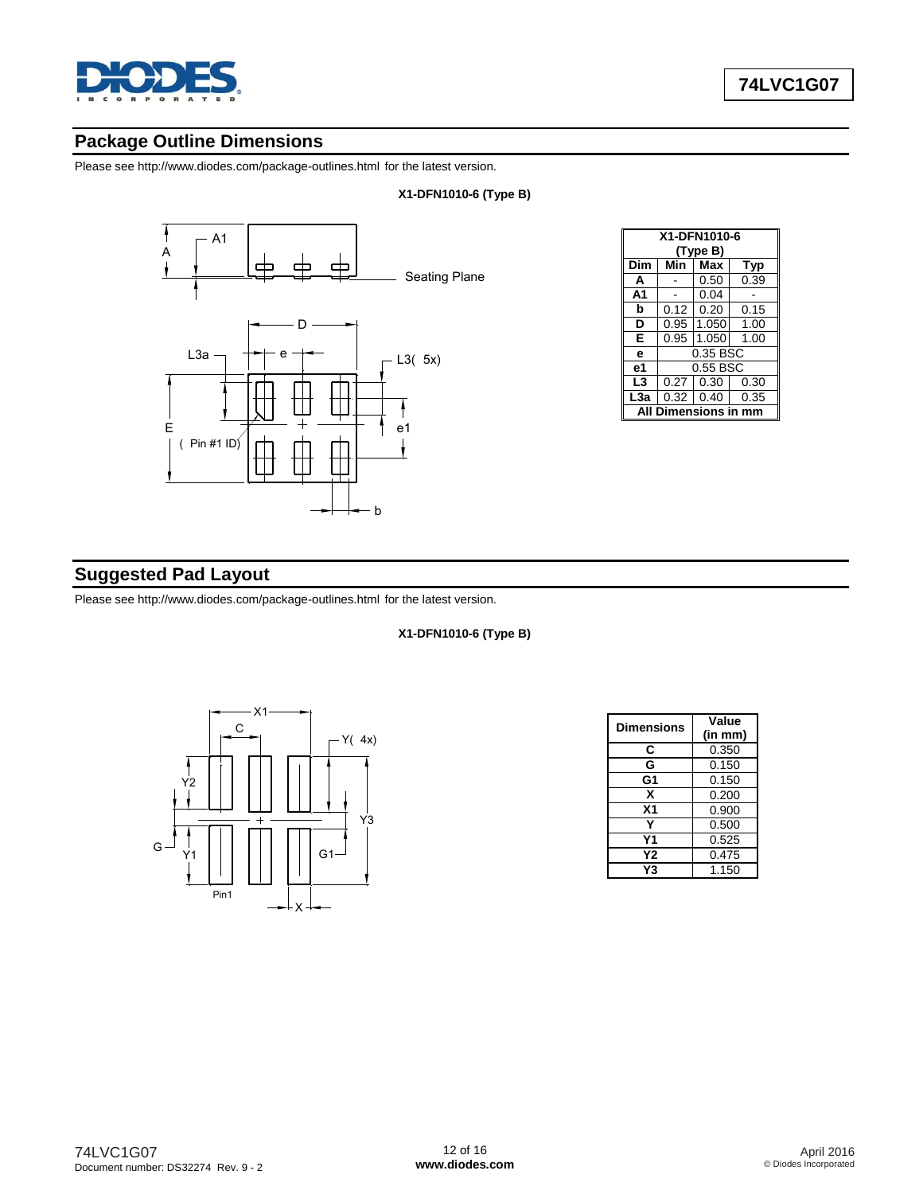

Please see<http://www.diodes.com/package-outlines.html> for the latest version.



|                         | X1-DFN1010-6<br>(Type B) |       |      |  |  |
|-------------------------|--------------------------|-------|------|--|--|
| Dim                     | Min                      | Max   | Typ  |  |  |
| A                       |                          | 0.50  | 0.39 |  |  |
| A <sub>1</sub>          |                          | 0.04  |      |  |  |
| b                       | 0.12                     | 0.20  | 0.15 |  |  |
| D                       | 0.95                     | 1.050 | 1.00 |  |  |
| Е                       | 0.95                     | 1.050 | 1.00 |  |  |
| e                       | 0.35 BSC                 |       |      |  |  |
| e <sub>1</sub>          | 0.55 BSC                 |       |      |  |  |
| L3                      | 0.27                     | 0.30  | 0.30 |  |  |
| L <sub>3</sub> a        | 0.32                     | 0.40  | 0.35 |  |  |
| Dimensions in mm<br>ΔIΙ |                          |       |      |  |  |

### **Suggested Pad Layout**

Please see<http://www.diodes.com/package-outlines.html> for the latest version.



| <b>Dimensions</b> | Value   |
|-------------------|---------|
|                   | (in mm) |
| C                 | 0.350   |
| G                 | 0.150   |
| G <sub>1</sub>    | 0.150   |
| X                 | 0.200   |
| X <sub>1</sub>    | 0.900   |
| Y                 | 0.500   |
| Υ1                | 0.525   |
| Υ2                | 0.475   |
| Y3                | 1.150   |

#### **X1-DFN1010-6 (Type B)**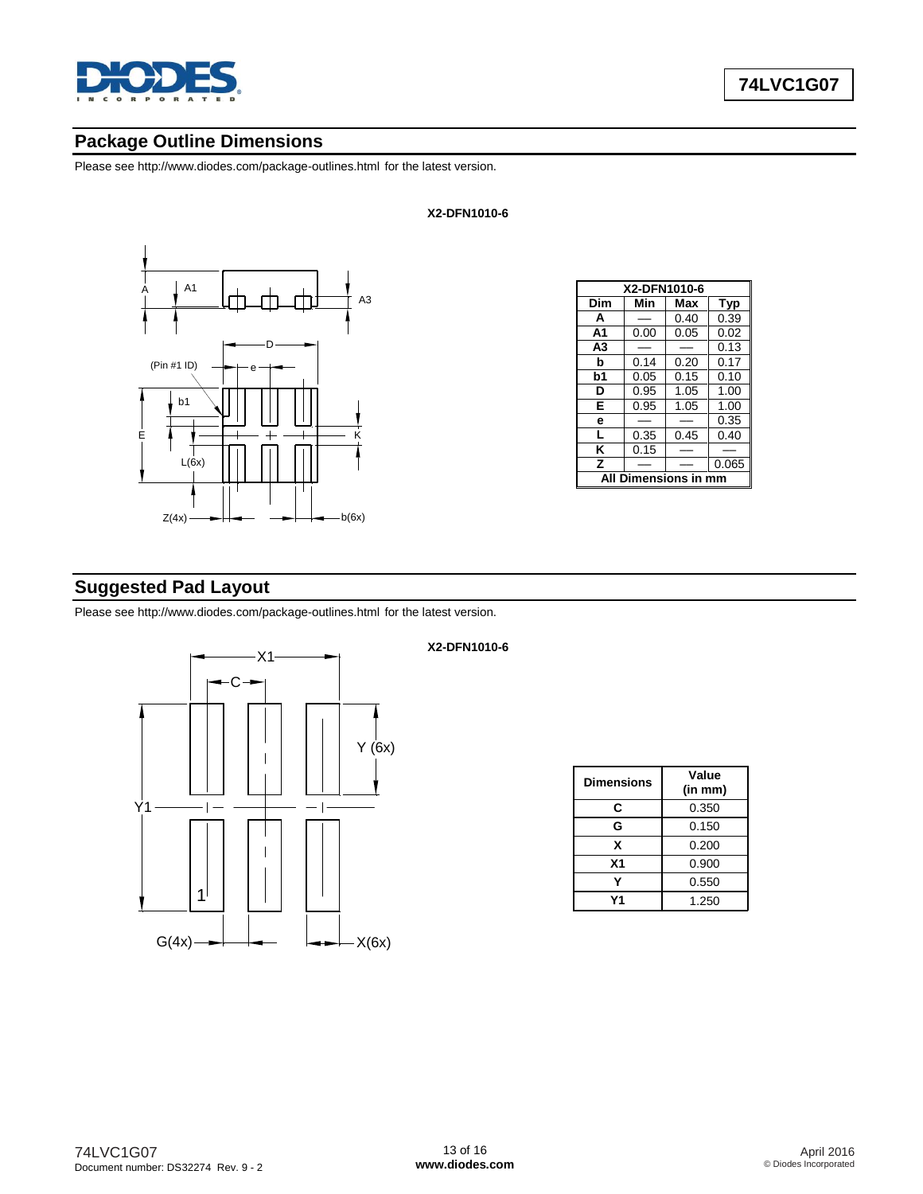

Please see<http://www.diodes.com/package-outlines.html> for the latest version.



|                  | X2-DFN1010-6 |      |       |  |
|------------------|--------------|------|-------|--|
| Dim              | Min          | Max  | Typ   |  |
| A                |              | 0.40 | 0.39  |  |
| A1               | 0.00         | 0.05 | 0.02  |  |
| A <sub>3</sub>   |              |      | 0.13  |  |
| b                | 0.14         | 0.20 | 0.17  |  |
| b1               | 0.05         | 0.15 | 0.10  |  |
| D                | 0.95         | 1.05 | 1.00  |  |
| E                | 0.95         | 1.05 | 1.00  |  |
| е                |              |      | 0.35  |  |
| L                | 0.35         | 0.45 | 0.40  |  |
| K                | 0.15         |      |       |  |
| Z                |              |      | 0.065 |  |
| Dimensions in mm |              |      |       |  |

# **Suggested Pad Layout**

Please see<http://www.diodes.com/package-outlines.html> for the latest version.



#### **X2-DFN1010-6**

**X2-DFN1010-6**

| <b>Dimensions</b> | Value<br>(in mm) |
|-------------------|------------------|
| C                 | 0.350            |
| G                 | 0.150            |
| x                 | 0.200            |
| X <sub>1</sub>    | 0.900            |
|                   | 0.550            |
| Υ1                | 1.250            |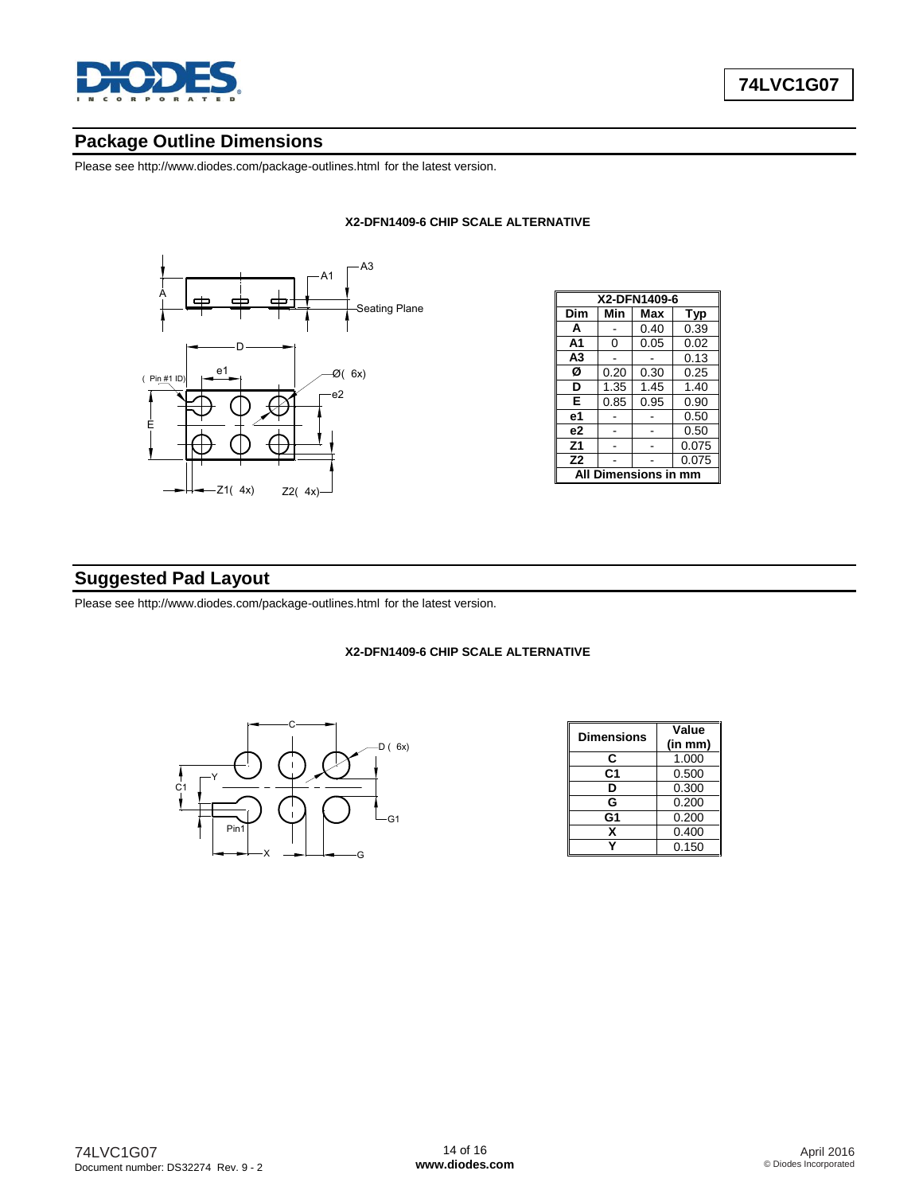

Please see<http://www.diodes.com/package-outlines.html> for the latest version.

#### **X2-DFN1409-6 CHIP SCALE ALTERNATIVE**



| X2-DFN1409-6           |      |      |       |  |
|------------------------|------|------|-------|--|
| Dim                    | Min  | Max  | Typ   |  |
| A                      |      | 0.40 | 0.39  |  |
| A <sub>1</sub>         | 0    | 0.05 | 0.02  |  |
| A <sub>3</sub>         |      |      | 0.13  |  |
| Ø                      | 0.20 | 0.30 | 0.25  |  |
| D                      | 1.35 | 1.45 | 1.40  |  |
| Е                      | 0.85 | 0.95 | 0.90  |  |
| е1                     |      |      | 0.50  |  |
| e2                     |      |      | 0.50  |  |
| Z <sub>1</sub>         |      |      | 0.075 |  |
| Z <sub>2</sub>         |      |      | 0.075 |  |
| Dimensions in mm<br>ΔI |      |      |       |  |

#### **Suggested Pad Layout**

Please see<http://www.diodes.com/package-outlines.html> for the latest version.

#### **X2-DFN1409-6 CHIP SCALE ALTERNATIVE**



| Dimensions     | Value   |  |
|----------------|---------|--|
|                | (in mm) |  |
| C              | 1.000   |  |
| C1             | 0.500   |  |
| D              | 0.300   |  |
| G              | 0.200   |  |
| G <sub>1</sub> | 0.200   |  |
| x              | 0.400   |  |
|                | 0.150   |  |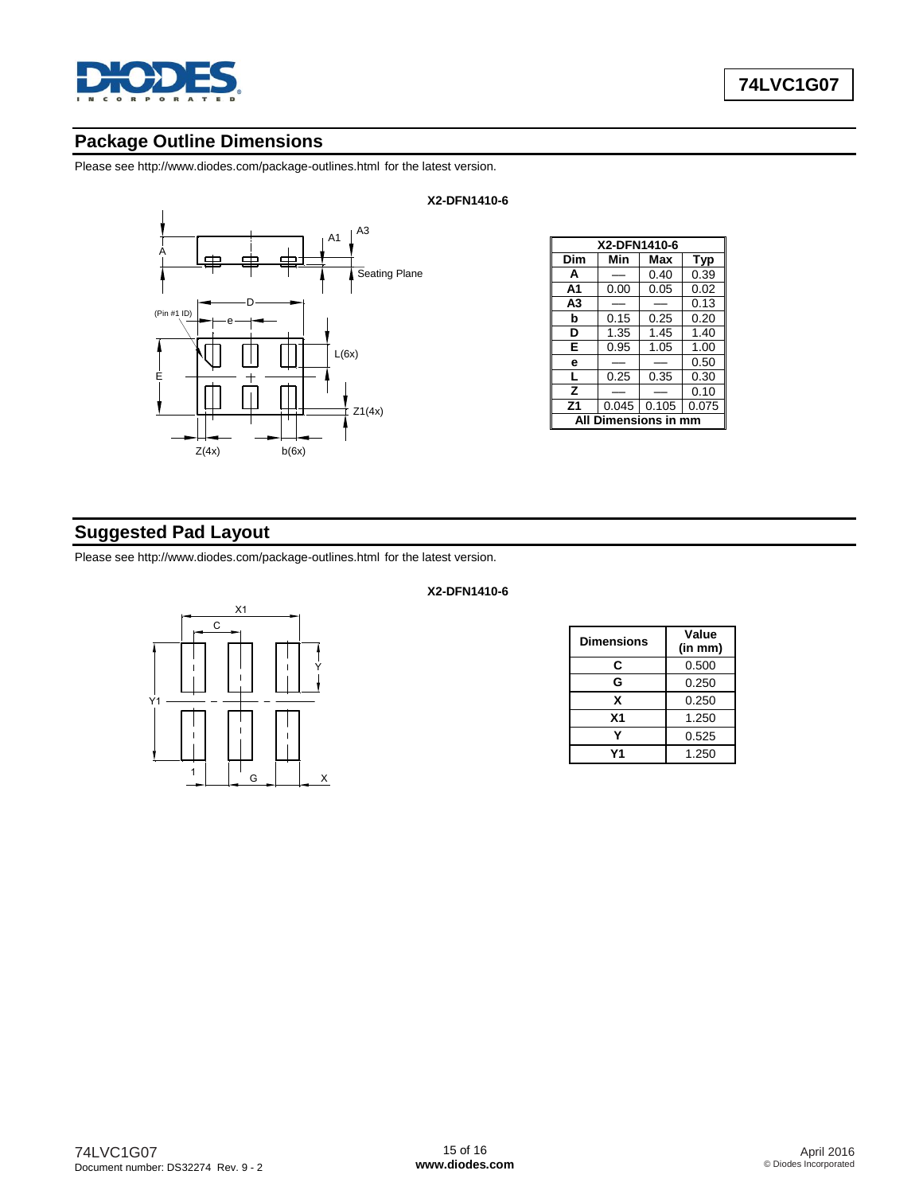

Please see<http://www.diodes.com/package-outlines.html> for the latest version.



| X2-DFN1410-6     |       |       |            |  |
|------------------|-------|-------|------------|--|
| Dim              | Min   | Max   | <b>Typ</b> |  |
| A                |       | 0.40  | 0.39       |  |
| A1               | 0.00  | 0.05  | 0.02       |  |
| A <sub>3</sub>   |       |       | 0.13       |  |
| b                | 0.15  | 0.25  | 0.20       |  |
| D                | 1.35  | 1.45  | 1.40       |  |
| Е                | 0.95  | 1.05  | 1.00       |  |
| е                |       |       | 0.50       |  |
| L                | 0.25  | 0.35  | 0.30       |  |
| z                |       |       | 0.10       |  |
| Z <sub>1</sub>   | 0.045 | 0.105 | 0.075      |  |
| Dimensions in mm |       |       |            |  |

# **Suggested Pad Layout**

Please see<http://www.diodes.com/package-outlines.html> for the latest version.



# **X2-DFN1410-6**

| Dimensions | Value<br>(in mm) |  |
|------------|------------------|--|
| C          | 0.500            |  |
| G          | 0.250            |  |
| x          | 0.250            |  |
| <b>X1</b>  | 1.250            |  |
|            | 0.525            |  |
| ٧1         | 1.250            |  |